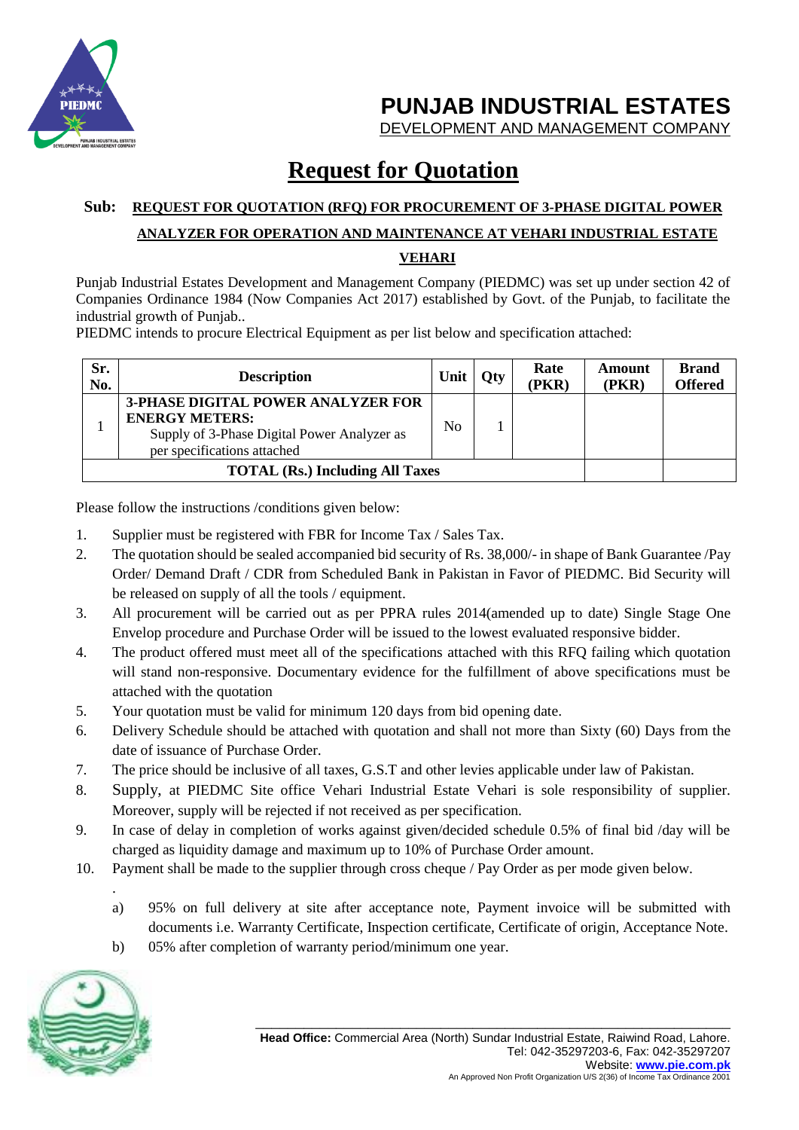

**PUNJAB INDUSTRIAL ESTATES**

DEVELOPMENT AND MANAGEMENT COMPANY

## **Request for Quotation**

#### **Sub: REQUEST FOR QUOTATION (RFQ) FOR PROCUREMENT OF 3-PHASE DIGITAL POWER ANALYZER FOR OPERATION AND MAINTENANCE AT VEHARI INDUSTRIAL ESTATE VEHARI**

Punjab Industrial Estates Development and Management Company (PIEDMC) was set up under section 42 of Companies Ordinance 1984 (Now Companies Act 2017) established by Govt. of the Punjab, to facilitate the industrial growth of Punjab..

PIEDMC intends to procure Electrical Equipment as per list below and specification attached:

| Sr.<br>No.                             | <b>Description</b>                                                                                                                               | Unit   Oty |  | Rate<br>(PKR) | Amount<br>(PKR) | <b>Brand</b><br><b>Offered</b> |
|----------------------------------------|--------------------------------------------------------------------------------------------------------------------------------------------------|------------|--|---------------|-----------------|--------------------------------|
|                                        | <b>3-PHASE DIGITAL POWER ANALYZER FOR</b><br><b>ENERGY METERS:</b><br>Supply of 3-Phase Digital Power Analyzer as<br>per specifications attached | No         |  |               |                 |                                |
| <b>TOTAL (Rs.) Including All Taxes</b> |                                                                                                                                                  |            |  |               |                 |                                |

Please follow the instructions /conditions given below:

- 1. Supplier must be registered with FBR for Income Tax / Sales Tax.
- 2. The quotation should be sealed accompanied bid security of Rs. 38,000/- in shape of Bank Guarantee /Pay Order/ Demand Draft / CDR from Scheduled Bank in Pakistan in Favor of PIEDMC. Bid Security will be released on supply of all the tools / equipment.
- 3. All procurement will be carried out as per PPRA rules 2014(amended up to date) Single Stage One Envelop procedure and Purchase Order will be issued to the lowest evaluated responsive bidder.
- 4. The product offered must meet all of the specifications attached with this RFQ failing which quotation will stand non-responsive. Documentary evidence for the fulfillment of above specifications must be attached with the quotation
- 5. Your quotation must be valid for minimum 120 days from bid opening date.
- 6. Delivery Schedule should be attached with quotation and shall not more than Sixty (60) Days from the date of issuance of Purchase Order.
- 7. The price should be inclusive of all taxes, G.S.T and other levies applicable under law of Pakistan.
- 8. Supply, at PIEDMC Site office Vehari Industrial Estate Vehari is sole responsibility of supplier. Moreover, supply will be rejected if not received as per specification.
- 9. In case of delay in completion of works against given/decided schedule 0.5% of final bid /day will be charged as liquidity damage and maximum up to 10% of Purchase Order amount.
- 10. Payment shall be made to the supplier through cross cheque / Pay Order as per mode given below.
	- a) 95% on full delivery at site after acceptance note, Payment invoice will be submitted with documents i.e. Warranty Certificate, Inspection certificate, Certificate of origin, Acceptance Note.
	- b) 05% after completion of warranty period/minimum one year.



.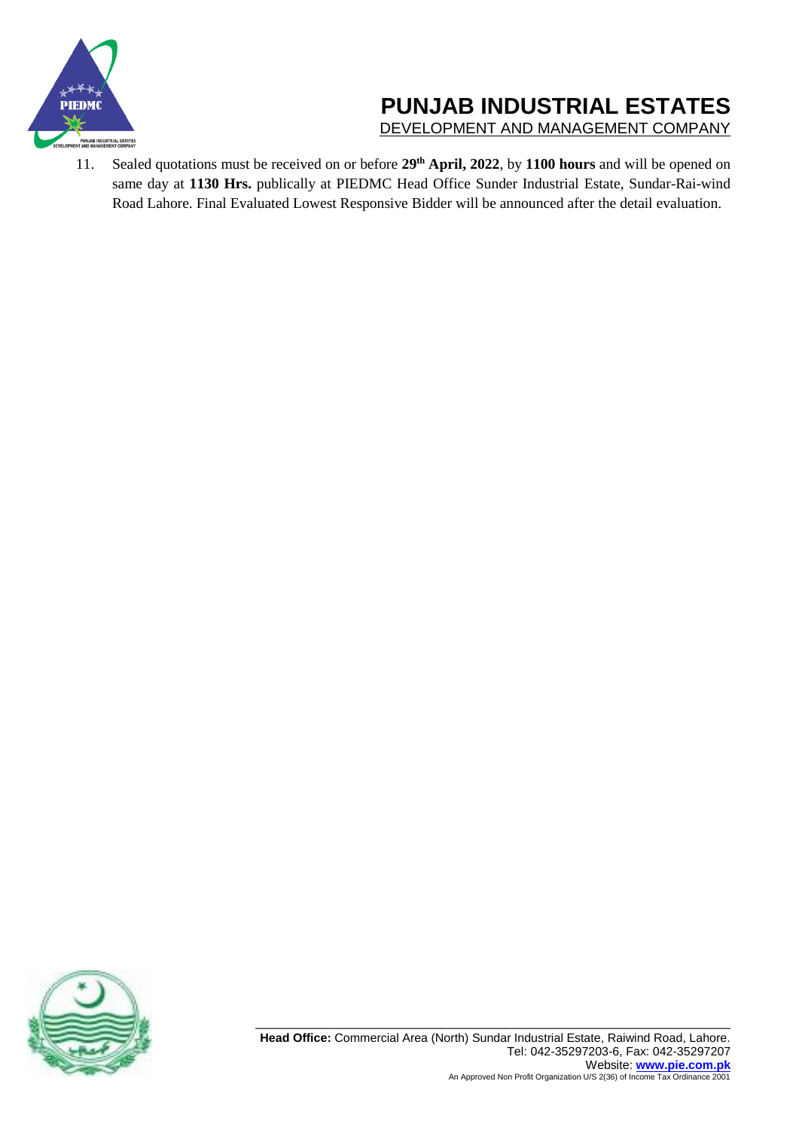

# **PUNJAB INDUSTRIAL ESTATES**

DEVELOPMENT AND MANAGEMENT COMPANY

11. Sealed quotations must be received on or before **29th April, 2022**, by **1100 hours** and will be opened on same day at **1130 Hrs.** publically at PIEDMC Head Office Sunder Industrial Estate, Sundar-Rai-wind Road Lahore. Final Evaluated Lowest Responsive Bidder will be announced after the detail evaluation.

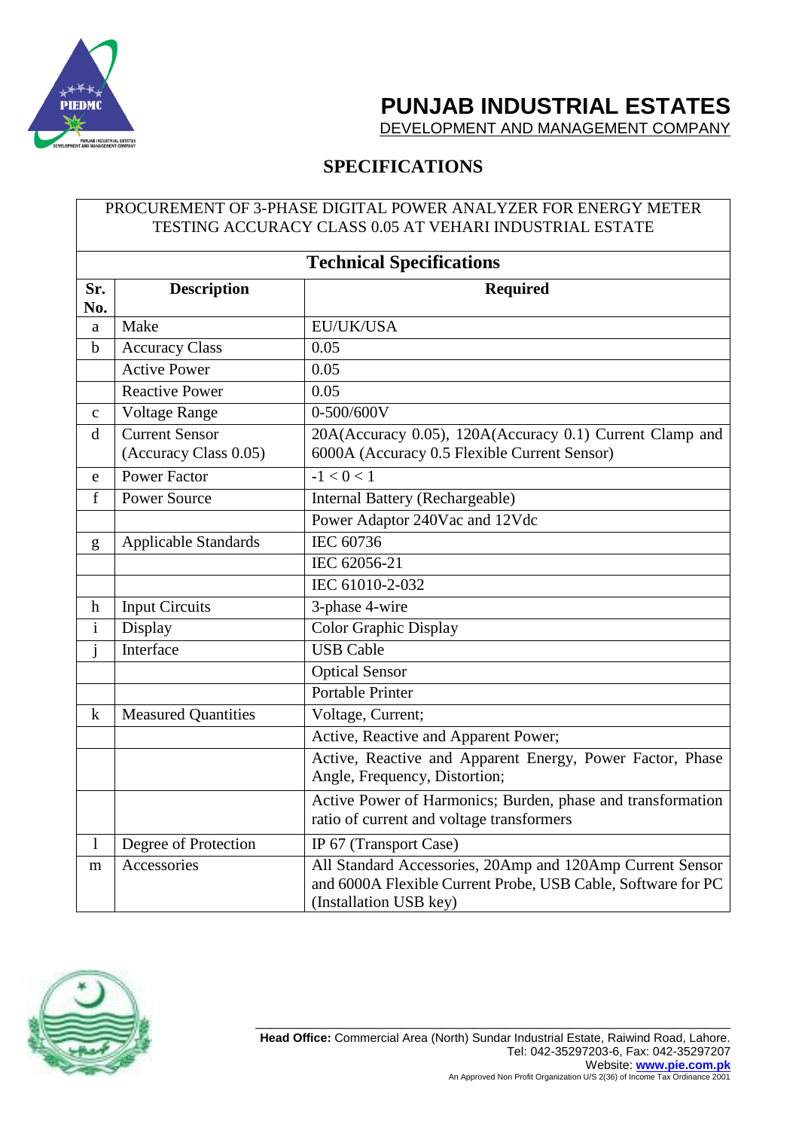

## **PUNJAB INDUSTRIAL ESTATES**

DEVELOPMENT AND MANAGEMENT COMPANY

### **SPECIFICATIONS**

#### PROCUREMENT OF 3-PHASE DIGITAL POWER ANALYZER FOR ENERGY METER TESTING ACCURACY CLASS 0.05 AT VEHARI INDUSTRIAL ESTATE

| <b>Technical Specifications</b> |                                                |                                                                                                                                                     |  |  |
|---------------------------------|------------------------------------------------|-----------------------------------------------------------------------------------------------------------------------------------------------------|--|--|
| Sr.<br>No.                      | <b>Description</b>                             | <b>Required</b>                                                                                                                                     |  |  |
| a                               | Make                                           | EU/UK/USA                                                                                                                                           |  |  |
| $\mathbf b$                     | <b>Accuracy Class</b>                          | 0.05                                                                                                                                                |  |  |
|                                 | <b>Active Power</b>                            | 0.05                                                                                                                                                |  |  |
|                                 | <b>Reactive Power</b>                          | 0.05                                                                                                                                                |  |  |
| $\mathbf{C}$                    | <b>Voltage Range</b>                           | 0-500/600V                                                                                                                                          |  |  |
| d                               | <b>Current Sensor</b><br>(Accuracy Class 0.05) | 20A(Accuracy 0.05), 120A(Accuracy 0.1) Current Clamp and<br>6000A (Accuracy 0.5 Flexible Current Sensor)                                            |  |  |
| e                               | <b>Power Factor</b>                            | $-1 < 0 < 1$                                                                                                                                        |  |  |
| $\rm f$                         | <b>Power Source</b>                            | Internal Battery (Rechargeable)                                                                                                                     |  |  |
|                                 |                                                | Power Adaptor 240Vac and 12Vdc                                                                                                                      |  |  |
| g                               | <b>Applicable Standards</b>                    | IEC 60736                                                                                                                                           |  |  |
|                                 |                                                | IEC 62056-21                                                                                                                                        |  |  |
|                                 |                                                | IEC 61010-2-032                                                                                                                                     |  |  |
| h                               | <b>Input Circuits</b>                          | 3-phase 4-wire                                                                                                                                      |  |  |
| $\mathbf{i}$                    | Display                                        | Color Graphic Display                                                                                                                               |  |  |
| $\mathbf{j}$                    | Interface                                      | <b>USB Cable</b>                                                                                                                                    |  |  |
|                                 |                                                | <b>Optical Sensor</b>                                                                                                                               |  |  |
|                                 |                                                | <b>Portable Printer</b>                                                                                                                             |  |  |
| $\mathbf k$                     | <b>Measured Quantities</b>                     | Voltage, Current;                                                                                                                                   |  |  |
|                                 |                                                | Active, Reactive and Apparent Power;                                                                                                                |  |  |
|                                 |                                                | Active, Reactive and Apparent Energy, Power Factor, Phase<br>Angle, Frequency, Distortion;                                                          |  |  |
|                                 |                                                | Active Power of Harmonics; Burden, phase and transformation<br>ratio of current and voltage transformers                                            |  |  |
| 1                               | Degree of Protection                           | IP 67 (Transport Case)                                                                                                                              |  |  |
| m                               | Accessories                                    | All Standard Accessories, 20Amp and 120Amp Current Sensor<br>and 6000A Flexible Current Probe, USB Cable, Software for PC<br>(Installation USB key) |  |  |